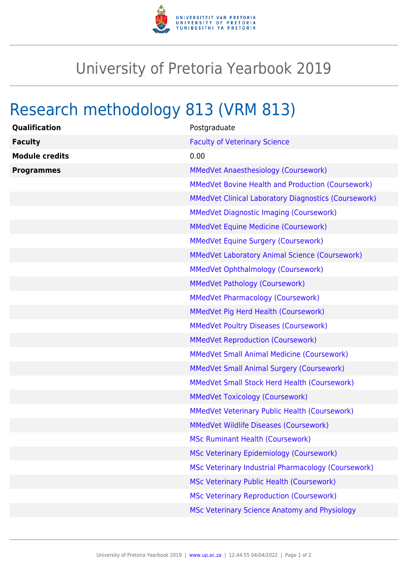

## University of Pretoria Yearbook 2019

## Research methodology 813 (VRM 813)

| Qualification         | Postgraduate                                                |
|-----------------------|-------------------------------------------------------------|
| <b>Faculty</b>        | <b>Faculty of Veterinary Science</b>                        |
| <b>Module credits</b> | 0.00                                                        |
| <b>Programmes</b>     | <b>MMedVet Anaesthesiology (Coursework)</b>                 |
|                       | <b>MMedVet Bovine Health and Production (Coursework)</b>    |
|                       | <b>MMedVet Clinical Laboratory Diagnostics (Coursework)</b> |
|                       | <b>MMedVet Diagnostic Imaging (Coursework)</b>              |
|                       | <b>MMedVet Equine Medicine (Coursework)</b>                 |
|                       | <b>MMedVet Equine Surgery (Coursework)</b>                  |
|                       | <b>MMedVet Laboratory Animal Science (Coursework)</b>       |
|                       | <b>MMedVet Ophthalmology (Coursework)</b>                   |
|                       | <b>MMedVet Pathology (Coursework)</b>                       |
|                       | <b>MMedVet Pharmacology (Coursework)</b>                    |
|                       | MMedVet Pig Herd Health (Coursework)                        |
|                       | <b>MMedVet Poultry Diseases (Coursework)</b>                |
|                       | <b>MMedVet Reproduction (Coursework)</b>                    |
|                       | <b>MMedVet Small Animal Medicine (Coursework)</b>           |
|                       | <b>MMedVet Small Animal Surgery (Coursework)</b>            |
|                       | MMedVet Small Stock Herd Health (Coursework)                |
|                       | <b>MMedVet Toxicology (Coursework)</b>                      |
|                       | <b>MMedVet Veterinary Public Health (Coursework)</b>        |
|                       | <b>MMedVet Wildlife Diseases (Coursework)</b>               |
|                       | <b>MSc Ruminant Health (Coursework)</b>                     |
|                       | <b>MSc Veterinary Epidemiology (Coursework)</b>             |
|                       | MSc Veterinary Industrial Pharmacology (Coursework)         |
|                       | MSc Veterinary Public Health (Coursework)                   |
|                       | <b>MSc Veterinary Reproduction (Coursework)</b>             |
|                       | MSc Veterinary Science Anatomy and Physiology               |
|                       |                                                             |